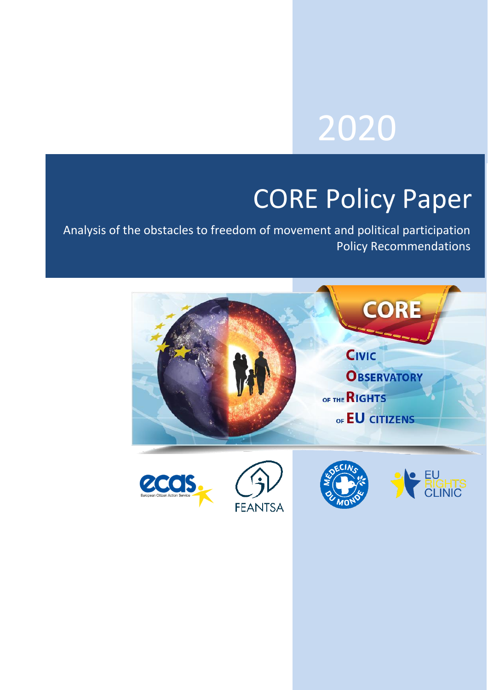# 2020

# CORE Policy Paper

Analysis of the obstacles to freedom of movement and political participation Policy Recommendations

**FEANTSA** 







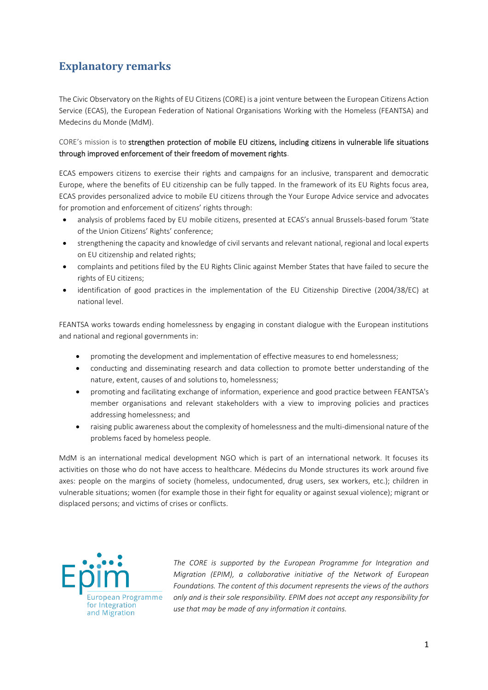# <span id="page-1-0"></span>**Explanatory remarks**

The Civic Observatory on the Rights of EU Citizens (CORE) is a joint venture between the European Citizens Action Service (ECAS), the European Federation of National Organisations Working with the Homeless (FEANTSA) and Medecins du Monde (MdM).

CORE's mission is to strengthen protection of mobile EU citizens, including citizens in vulnerable life situations through improved enforcement of their freedom of movement rights.

ECAS empowers citizens to exercise their rights and campaigns for an inclusive, transparent and democratic Europe, where the benefits of EU citizenship can be fully tapped. In the framework of its EU Rights focus area, ECAS provides personalized advice to mobile EU citizens through the Your Europe Advice service and advocates for promotion and enforcement of citizens' rights through:

- analysis of problems faced by EU mobile citizens, presented at ECAS's annual Brussels-based forum 'State of the Union Citizens' Rights' conference;
- strengthening the capacity and knowledge of civil servants and relevant national, regional and local experts on EU citizenship and related rights;
- complaints and petitions filed by the EU Rights Clinic against Member States that have failed to secure the rights of EU citizens;
- identification of good practices in the implementation of the EU Citizenship Directive (2004/38/EC) at national level.

FEANTSA works towards ending homelessness by engaging in constant dialogue with the European institutions and national and regional governments in:

- promoting the development and implementation of effective measures to end homelessness;
- conducting and disseminating research and data collection to promote better understanding of the nature, extent, causes of and solutions to, homelessness;
- promoting and facilitating exchange of information, experience and good practice between FEANTSA's member organisations and relevant stakeholders with a view to improving policies and practices addressing homelessness; and
- raising public awareness about the complexity of homelessness and the multi-dimensional nature of the problems faced by homeless people.

MdM is an international medical development NGO which is part of an international network. It focuses its activities on those who do not have access to healthcare. Médecins du Monde structures its work around five axes: people on the margins of society (homeless, undocumented, drug users, sex workers, etc.); children in vulnerable situations; women (for example those in their fight for equality or against sexual violence); migrant or displaced persons; and victims of crises or conflicts.



*The CORE is supported by the European Programme for Integration and Migration (EPIM), a collaborative initiative of the Network of European Foundations. The content of this document represents the views of the authors only and is their sole responsibility. EPIM does not accept any responsibility for use that may be made of any information it contains.*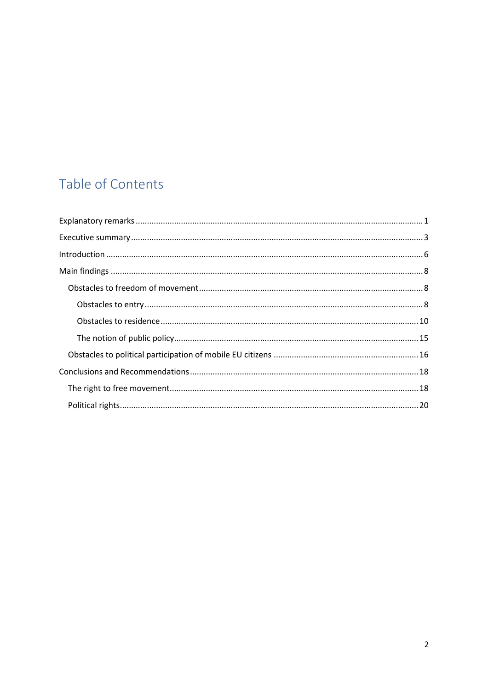# Table of Contents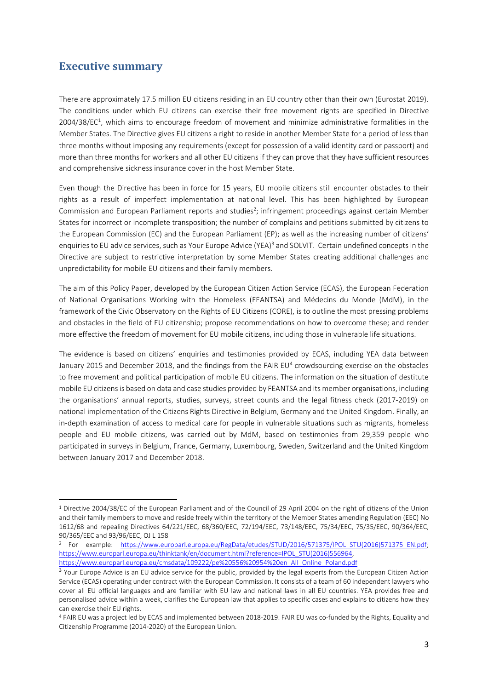# <span id="page-3-0"></span>**Executive summary**

There are approximately 17.5 million EU citizens residing in an EU country other than their own (Eurostat 2019). The conditions under which EU citizens can exercise their free movement rights are specified in Directive 2004/38/EC<sup>1</sup>, which aims to encourage freedom of movement and minimize administrative formalities in the Member States. The Directive gives EU citizens a right to reside in another Member State for a period of less than three months without imposing any requirements (except for possession of a valid identity card or passport) and more than three months for workers and all other EU citizens if they can prove that they have sufficient resources and comprehensive sickness insurance cover in the host Member State.

Even though the Directive has been in force for 15 years, EU mobile citizens still encounter obstacles to their rights as a result of imperfect implementation at national level. This has been highlighted by European Commission and European Parliament reports and studies<sup>2</sup>; infringement proceedings against certain Member States for incorrect or incomplete transposition; the number of complains and petitions submitted by citizens to the European Commission (EC) and the European Parliament (EP); as well as the increasing number of citizens' enquiries to EU advice services, such as Your Europe Advice (YEA)<sup>3</sup> and SOLVIT. Certain undefined concepts in the Directive are subject to restrictive interpretation by some Member States creating additional challenges and unpredictability for mobile EU citizens and their family members.

The aim of this Policy Paper, developed by the European Citizen Action Service (ECAS), the European Federation of National Organisations Working with the Homeless (FEANTSA) and Médecins du Monde (MdM), in the framework of the Civic Observatory on the Rights of EU Citizens (CORE), is to outline the most pressing problems and obstacles in the field of EU citizenship; propose recommendations on how to overcome these; and render more effective the freedom of movement for EU mobile citizens, including those in vulnerable life situations.

The evidence is based on citizens' enquiries and testimonies provided by ECAS, including YEA data between January 2015 and December 2018, and the findings from the FAIR EU<sup>4</sup> crowdsourcing exercise on the obstacles to free movement and political participation of mobile EU citizens. The information on the situation of destitute mobile EU citizens is based on data and case studies provided by FEANTSA and its member organisations, including the organisations' annual reports, studies, surveys, street counts and the legal fitness check (2017-2019) on national implementation of the Citizens Rights Directive in Belgium, Germany and the United Kingdom. Finally, an in-depth examination of access to medical care for people in vulnerable situations such as migrants, homeless people and EU mobile citizens, was carried out by MdM, based on testimonies from 29,359 people who participated in surveys in Belgium, France, Germany, Luxembourg, Sweden, Switzerland and the United Kingdom between January 2017 and December 2018.

<sup>1</sup> Directive 2004/38/EC of the European Parliament and of the Council of 29 April 2004 on the right of citizens of the Union and their family members to move and reside freely within the territory of the Member States amending Regulation (EEC) No 1612/68 and repealing Directives 64/221/EEC, 68/360/EEC, 72/194/EEC, 73/148/EEC, 75/34/EEC, 75/35/EEC, 90/364/EEC, 90/365/EEC and 93/96/EEC, OJ L 158

<sup>&</sup>lt;sup>2</sup> For example: https://www.europarl.europa.eu/RegData/etudes/STUD/2016/571375/IPOL\_STU(2016)571375\_EN.pdf: [https://www.europarl.europa.eu/thinktank/en/document.html?reference=IPOL\\_STU\(2016\)556964,](https://www.europarl.europa.eu/thinktank/en/document.html?reference=IPOL_STU(2016)556964) [https://www.europarl.europa.eu/cmsdata/109222/pe%20556%20954%20en\\_All\\_Online\\_Poland.pdf](https://www.europarl.europa.eu/cmsdata/109222/pe%20556%20954%20en_All_Online_Poland.pdf) 

<sup>&</sup>lt;sup>3</sup> Your Europe Advice is an EU advice service for the public, provided by the legal experts from the European Citizen Action Service (ECAS) operating under contract with the European Commission. It consists of a team of 60 independent lawyers who cover all EU official languages and are familiar with EU law and national laws in all EU countries. YEA provides free and personalised advice within a week, clarifies the European law that applies to specific cases and explains to citizens how they can exercise their EU rights.

<sup>4</sup> FAIR EU was a project led by ECAS and implemented between 2018-2019. FAIR EU was co-funded by the Rights, Equality and Citizenship Programme (2014-2020) of the European Union.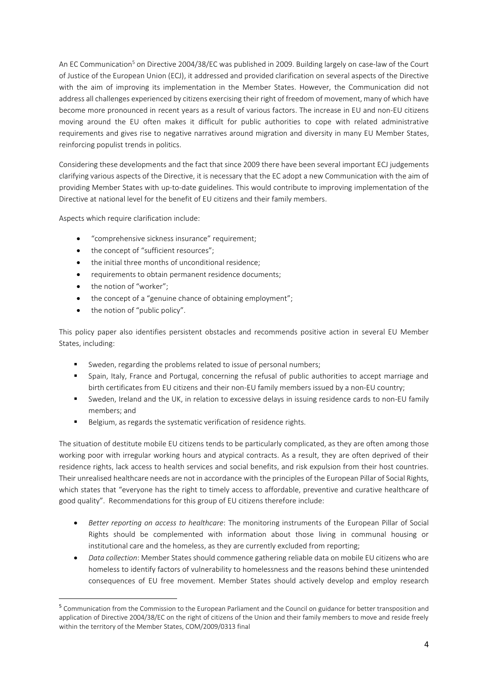An EC Communication<sup>5</sup> on Directive 2004/38/EC was published in 2009. Building largely on case-law of the Court of Justice of the European Union (ECJ), it addressed and provided clarification on several aspects of the Directive with the aim of improving its implementation in the Member States. However, the Communication did not address all challenges experienced by citizens exercising their right of freedom of movement, many of which have become more pronounced in recent years as a result of various factors. The increase in EU and non-EU citizens moving around the EU often makes it difficult for public authorities to cope with related administrative requirements and gives rise to negative narratives around migration and diversity in many EU Member States, reinforcing populist trends in politics.

Considering these developments and the fact that since 2009 there have been several important ECJ judgements clarifying various aspects of the Directive, it is necessary that the EC adopt a new Communication with the aim of providing Member States with up-to-date guidelines. This would contribute to improving implementation of the Directive at national level for the benefit of EU citizens and their family members.

Aspects which require clarification include:

- "comprehensive sickness insurance" requirement;
- the concept of "sufficient resources";
- the initial three months of unconditional residence;
- requirements to obtain permanent residence documents;
- the notion of "worker";
- the concept of a "genuine chance of obtaining employment";
- the notion of "public policy".

This policy paper also identifies persistent obstacles and recommends positive action in several EU Member States, including:

- Sweden, regarding the problems related to issue of personal numbers;
- Spain, Italy, France and Portugal, concerning the refusal of public authorities to accept marriage and birth certificates from EU citizens and their non-EU family members issued by a non-EU country;
- Sweden, Ireland and the UK, in relation to excessive delays in issuing residence cards to non-EU family members; and
- Belgium, as regards the systematic verification of residence rights.

The situation of destitute mobile EU citizens tends to be particularly complicated, as they are often among those working poor with irregular working hours and atypical contracts. As a result, they are often deprived of their residence rights, lack access to health services and social benefits, and risk expulsion from their host countries. Their unrealised healthcare needs are not in accordance with the principles of the European Pillar of Social Rights, which states that "everyone has the right to timely access to affordable, preventive and curative healthcare of good quality". Recommendations for this group of EU citizens therefore include:

- *Better reporting on access to healthcare*: The monitoring instruments of the European Pillar of Social Rights should be complemented with information about those living in communal housing or institutional care and the homeless, as they are currently excluded from reporting;
- *Data collection*: Member States should commence gathering reliable data on mobile EU citizens who are homeless to identify factors of vulnerability to homelessness and the reasons behind these unintended consequences of EU free movement. Member States should actively develop and employ research

<sup>5</sup> Communication from the Commission to the European Parliament and the Council on guidance for better transposition and application of Directive 2004/38/EC on the right of citizens of the Union and their family members to move and reside freely within the territory of the Member States, COM/2009/0313 final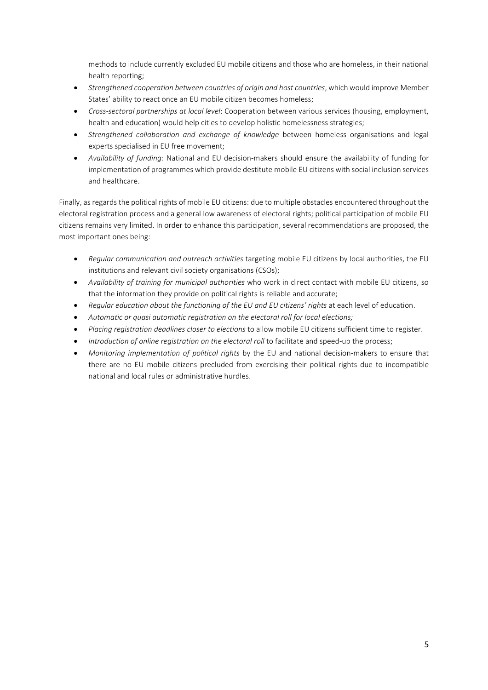methods to include currently excluded EU mobile citizens and those who are homeless, in their national health reporting;

- *Strengthened cooperation between countries of origin and host countries*, which would improve Member States' ability to react once an EU mobile citizen becomes homeless;
- *Cross-sectoral partnerships at local level*: Cooperation between various services (housing, employment, health and education) would help cities to develop holistic homelessness strategies;
- *Strengthened collaboration and exchange of knowledge* between homeless organisations and legal experts specialised in EU free movement;
- *Availability of funding:* National and EU decision-makers should ensure the availability of funding for implementation of programmes which provide destitute mobile EU citizens with social inclusion services and healthcare.

Finally, as regards the political rights of mobile EU citizens: due to multiple obstacles encountered throughout the electoral registration process and a general low awareness of electoral rights; political participation of mobile EU citizens remains very limited. In order to enhance this participation, several recommendations are proposed, the most important ones being:

- *Regular communication and outreach activities* targeting mobile EU citizens by local authorities, the EU institutions and relevant civil society organisations (CSOs);
- *Availability of training for municipal authorities* who work in direct contact with mobile EU citizens, so that the information they provide on political rights is reliable and accurate;
- *Regular education about the functioning of the EU and EU citizens' rights* at each level of education.
- Automatic or quasi automatic registration on the electoral roll for local elections;
- *Placing registration deadlines closer to elections* to allow mobile EU citizens sufficient time to register.
- *Introduction of online registration on the electoral roll* to facilitate and speed-up the process;
- *Monitoring implementation of political rights* by the EU and national decision-makers to ensure that there are no EU mobile citizens precluded from exercising their political rights due to incompatible national and local rules or administrative hurdles.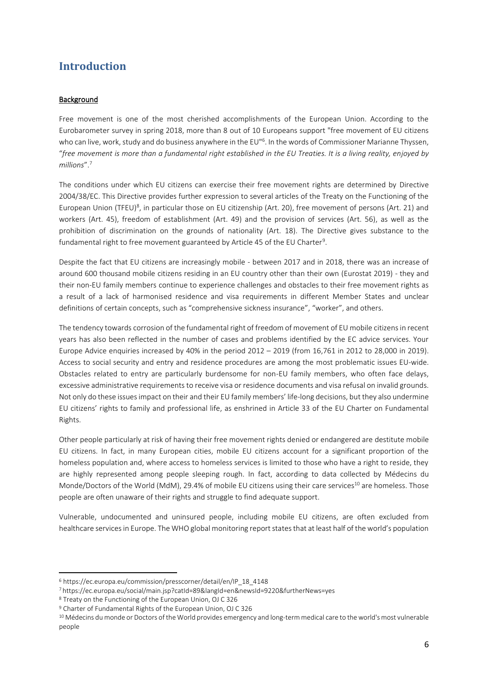# <span id="page-6-0"></span>**Introduction**

#### **Background**

Free movement is one of the most cherished accomplishments of the European Union. According to the Eurobarometer survey in spring 2018, more than 8 out of 10 Europeans support "free movement of EU citizens who can live, work, study and do business anywhere in the EU"<sup>6</sup>. In the words of Commissioner Marianne Thyssen, "*free movement is more than a fundamental right established in the EU Treaties. It is a living reality, enjoyed by millions*".<sup>7</sup>

The conditions under which EU citizens can exercise their free movement rights are determined by Directive 2004/38/EC. This Directive provides further expression to several articles of the Treaty on the Functioning of the European Union (TFEU)<sup>8</sup>, in particular those on EU citizenship (Art. 20), free movement of persons (Art. 21) and workers (Art. 45), freedom of establishment (Art. 49) and the provision of services (Art. 56), as well as the prohibition of discrimination on the grounds of nationality (Art. 18). The Directive gives substance to the fundamental right to free movement guaranteed by Article 45 of the EU Charter<sup>9</sup>.

Despite the fact that EU citizens are increasingly mobile - between 2017 and in 2018, there was an increase of around 600 thousand mobile citizens residing in an EU country other than their own (Eurostat 2019) - they and their non-EU family members continue to experience challenges and obstacles to their free movement rights as a result of a lack of harmonised residence and visa requirements in different Member States and unclear definitions of certain concepts, such as "comprehensive sickness insurance", "worker", and others.

The tendency towards corrosion of the fundamental right of freedom of movement of EU mobile citizens in recent years has also been reflected in the number of cases and problems identified by the EC advice services. Your Europe Advice enquiries increased by 40% in the period 2012 – 2019 (from 16,761 in 2012 to 28,000 in 2019). Access to social security and entry and residence procedures are among the most problematic issues EU-wide. Obstacles related to entry are particularly burdensome for non-EU family members, who often face delays, excessive administrative requirements to receive visa or residence documents and visa refusal on invalid grounds. Not only do these issues impact on their and their EU family members' life-long decisions, but they also undermine EU citizens' rights to family and professional life, as enshrined in Article 33 of the EU Charter on Fundamental Rights.

Other people particularly at risk of having their free movement rights denied or endangered are destitute mobile EU citizens. In fact, in many European cities, mobile EU citizens account for a significant proportion of the homeless population and, where access to homeless services is limited to those who have a right to reside, they are highly represented among people sleeping rough. In fact, according to data collected by Médecins du Monde/Doctors of the World (MdM), 29.4% of mobile EU citizens using their care services<sup>10</sup> are homeless. Those people are often unaware of their rights and struggle to find adequate support.

Vulnerable, undocumented and uninsured people, including mobile EU citizens, are often excluded from healthcare services in Europe. The WHO global monitoring report states that at least half of the world's population

<sup>6</sup> [https://ec.europa.eu/commission/presscorner/detail/en/IP\\_18\\_4148](https://ec.europa.eu/commission/presscorner/detail/en/IP_18_4148)

<sup>7</sup> <https://ec.europa.eu/social/main.jsp?catId=89&langId=en&newsId=9220&furtherNews=yes>

<sup>8</sup> Treaty on the Functioning of the European Union, OJ C 326

<sup>9</sup> Charter of Fundamental Rights of the European Union, OJ C 326

<sup>10</sup> Médecins du monde or Doctors of the World provides emergency and long-term medical care to the world's most vulnerable people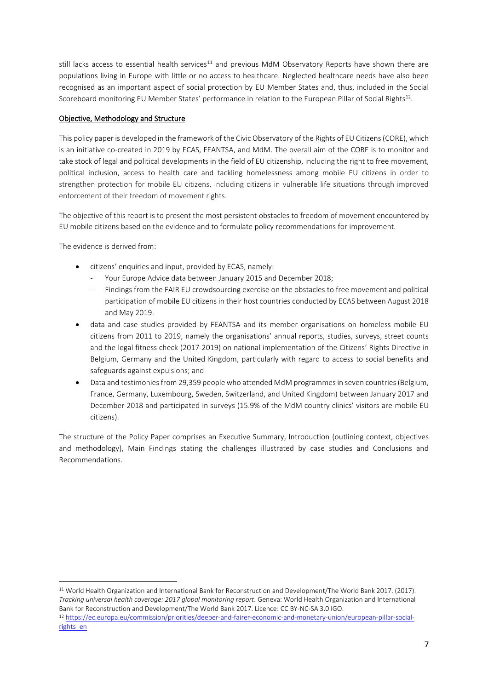still lacks access to essential health services $11$  and previous MdM Observatory Reports have shown there are populations living in Europe with little or no access to healthcare. Neglected healthcare needs have also been recognised as an important aspect of social protection by EU Member States and, thus, included in the Social Scoreboard monitoring EU Member States' performance in relation to the European Pillar of Social Rights<sup>12</sup>.

#### Objective, Methodology and Structure

This policy paper is developed in the framework of the Civic Observatory of the Rights of EU Citizens (CORE), which is an initiative co-created in 2019 by ECAS, FEANTSA, and MdM. The overall aim of the CORE is to monitor and take stock of legal and political developments in the field of EU citizenship, including the right to free movement, political inclusion, access to health care and tackling homelessness among mobile EU citizens in order to strengthen protection for mobile EU citizens, including citizens in vulnerable life situations through improved enforcement of their freedom of movement rights.

The objective of this report is to present the most persistent obstacles to freedom of movement encountered by EU mobile citizens based on the evidence and to formulate policy recommendations for improvement.

The evidence is derived from:

- citizens' enquiries and input, provided by ECAS, namely:
	- Your Europe Advice data between January 2015 and December 2018;
	- Findings from the FAIR EU crowdsourcing exercise on the obstacles to free movement and political participation of mobile EU citizens in their host countries conducted by ECAS between August 2018 and May 2019.
- data and case studies provided by FEANTSA and its member organisations on homeless mobile EU citizens from 2011 to 2019, namely the organisations' annual reports, studies, surveys, street counts and the legal fitness check (2017-2019) on national implementation of the Citizens' Rights Directive in Belgium, Germany and the United Kingdom, particularly with regard to access to social benefits and safeguards against expulsions; and
- Data and testimonies from 29,359 people who attended MdM programmes in seven countries (Belgium, France, Germany, Luxembourg, Sweden, Switzerland, and United Kingdom) between January 2017 and December 2018 and participated in surveys (15.9% of the MdM country clinics' visitors are mobile EU citizens).

The structure of the Policy Paper comprises an Executive Summary, Introduction (outlining context, objectives and methodology), Main Findings stating the challenges illustrated by case studies and Conclusions and Recommendations.

<sup>11</sup> World Health Organization and International Bank for Reconstruction and Development/The World Bank 2017. (2017). *Tracking universal health coverage: 2017 global monitoring report.* Geneva: World Health Organization and International Bank for Reconstruction and Development/The World Bank 2017. Licence: CC BY-NC-SA 3.0 IGO. <sup>12</sup> [https://ec.europa.eu/commission/priorities/deeper-and-fairer-economic-and-monetary-union/european-pillar-social](https://ec.europa.eu/commission/priorities/deeper-and-fairer-economic-and-monetary-union/european-pillar-social-rights_en)[rights\\_en](https://ec.europa.eu/commission/priorities/deeper-and-fairer-economic-and-monetary-union/european-pillar-social-rights_en)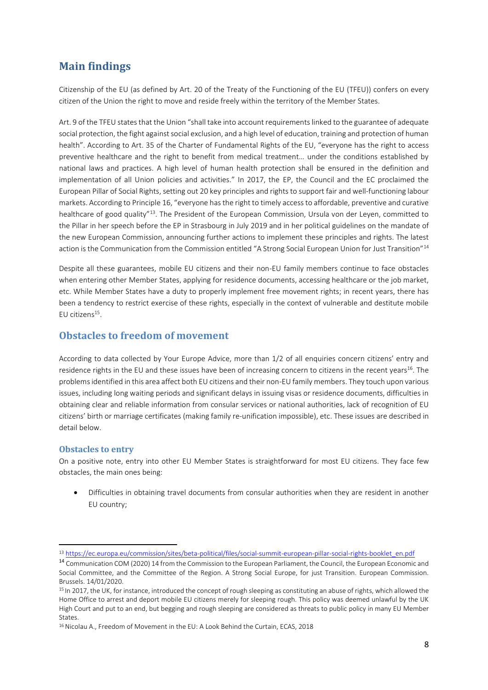# <span id="page-8-0"></span>**Main findings**

Citizenship of the EU (as defined by Art. 20 of the Treaty of the Functioning of the EU (TFEU)) confers on every citizen of the Union the right to move and reside freely within the territory of the Member States.

Art. 9 of the TFEU states that the Union "shall take into account requirements linked to the guarantee of adequate social protection, the fight against social exclusion, and a high level of education, training and protection of human health". According to Art. 35 of the Charter of Fundamental Rights of the EU, "everyone has the right to access preventive healthcare and the right to benefit from medical treatment… under the conditions established by national laws and practices. A high level of human health protection shall be ensured in the definition and implementation of all Union policies and activities." In 2017, the EP, the Council and the EC proclaimed the European Pillar of Social Rights, setting out 20 key principles and rights to support fair and well-functioning labour markets. According to Principle 16, "everyone has the right to timely access to affordable, preventive and curative healthcare of good quality"<sup>13</sup>. The President of the European Commission, Ursula von der Leyen, committed to the Pillar in her speech before the EP in Strasbourg in July 2019 and in her political guidelines on the mandate of the new European Commission, announcing further actions to implement these principles and rights. The latest action is the Communication from the Commission entitled "A Strong Social European Union for Just Transition"<sup>14</sup>

Despite all these guarantees, mobile EU citizens and their non-EU family members continue to face obstacles when entering other Member States, applying for residence documents, accessing healthcare or the job market, etc. While Member States have a duty to properly implement free movement rights; in recent years, there has been a tendency to restrict exercise of these rights, especially in the context of vulnerable and destitute mobile EU citizens $^{15}$ .

### <span id="page-8-1"></span>**Obstacles to freedom of movement**

According to data collected by Your Europe Advice, more than 1/2 of all enquiries concern citizens' entry and residence rights in the EU and these issues have been of increasing concern to citizens in the recent years<sup>16</sup>. The problems identified in this area affect both EU citizens and their non-EU family members. They touch upon various issues, including long waiting periods and significant delays in issuing visas or residence documents, difficulties in obtaining clear and reliable information from consular services or national authorities, lack of recognition of EU citizens' birth or marriage certificates (making family re-unification impossible), etc. These issues are described in detail below.

#### <span id="page-8-2"></span>**Obstacles to entry**

On a positive note, entry into other EU Member States is straightforward for most EU citizens. They face few obstacles, the main ones being:

• Difficulties in obtaining travel documents from consular authorities when they are resident in another EU country;

<sup>13</sup> [https://ec.europa.eu/commission/sites/beta-political/files/social-summit-european-pillar-social-rights-booklet\\_en.pdf](https://ec.europa.eu/commission/sites/beta-political/files/social-summit-european-pillar-social-rights-booklet_en.pdf)

<sup>14</sup> Communication COM (2020) 14 from the Commission to the European Parliament, the Council, the European Economic and Social Committee, and the Committee of the Region. A Strong Social Europe, for just Transition. European Commission. Brussels. 14/01/2020.

<sup>&</sup>lt;sup>15</sup> In 2017, the UK, for instance, introduced the concept of rough sleeping as constituting an abuse of rights, which allowed the Home Office to arrest and deport mobile EU citizens merely for sleeping rough. This policy was deemed unlawful by the UK High Court and put to an end, but begging and rough sleeping are considered as threats to public policy in many EU Member States.

<sup>&</sup>lt;sup>16</sup> Nicolau A., Freedom of Movement in the EU: A Look Behind the Curtain, ECAS, 2018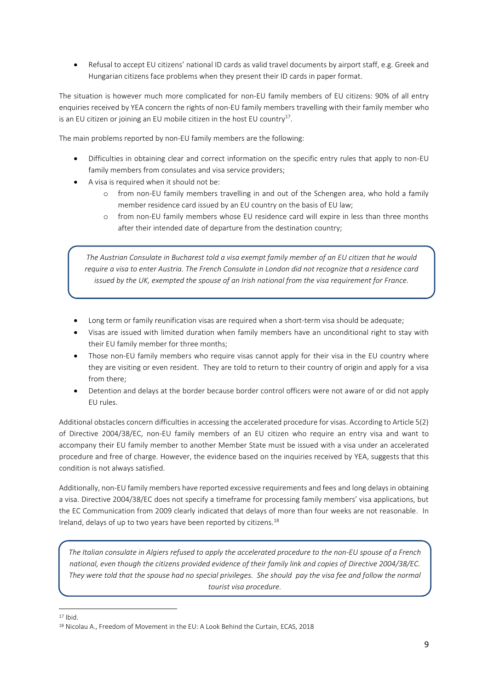• Refusal to accept EU citizens' national ID cards as valid travel documents by airport staff, e.g. Greek and Hungarian citizens face problems when they present their ID cards in paper format.

The situation is however much more complicated for non-EU family members of EU citizens: 90% of all entry enquiries received by YEA concern the rights of non-EU family members travelling with their family member who is an EU citizen or joining an EU mobile citizen in the host EU country<sup>17</sup>.

The main problems reported by non-EU family members are the following:

- Difficulties in obtaining clear and correct information on the specific entry rules that apply to non-EU family members from consulates and visa service providers;
- A visa is required when it should not be:
	- o from non-EU family members travelling in and out of the Schengen area, who hold a family member residence card issued by an EU country on the basis of EU law;
	- o from non-EU family members whose EU residence card will expire in less than three months after their intended date of departure from the destination country;

*The Austrian Consulate in Bucharest told a visa exempt family member of an EU citizen that he would require a visa to enter Austria. The French Consulate in London did not recognize that a residence card issued by the UK, exempted the spouse of an Irish national from the visa requirement for France.*

- Long term or family reunification visas are required when a short-term visa should be adequate;
- Visas are issued with limited duration when family members have an unconditional right to stay with their EU family member for three months;
- Those non-EU family members who require visas cannot apply for their visa in the EU country where they are visiting or even resident. They are told to return to their country of origin and apply for a visa from there;
- Detention and delays at the border because border control officers were not aware of or did not apply EU rules.

Additional obstacles concern difficulties in accessing the accelerated procedure for visas. According to Article 5(2) of Directive 2004/38/EC, non-EU family members of an EU citizen who require an entry visa and want to accompany their EU family member to another Member State must be issued with a visa under an accelerated procedure and free of charge. However, the evidence based on the inquiries received by YEA, suggests that this condition is not always satisfied.

Additionally, non-EU family members have reported excessive requirements and fees and long delays in obtaining a visa. Directive 2004/38/EC does not specify a timeframe for processing family members' visa applications, but the EC Communication from 2009 clearly indicated that delays of more than four weeks are not reasonable. In Ireland, delays of up to two years have been reported by citizens.<sup>18</sup>

*The Italian consulate in Algiers refused to apply the accelerated procedure to the non-EU spouse of a French national, even though the citizens provided evidence of their family link and copies of Directive 2004/38/EC. They were told that the spouse had no special privileges. She should pay the visa fee and follow the normal tourist visa procedure.*

<sup>17</sup> Ibid.

<sup>18</sup> Nicolau A., Freedom of Movement in the EU: A Look Behind the Curtain, ECAS, 2018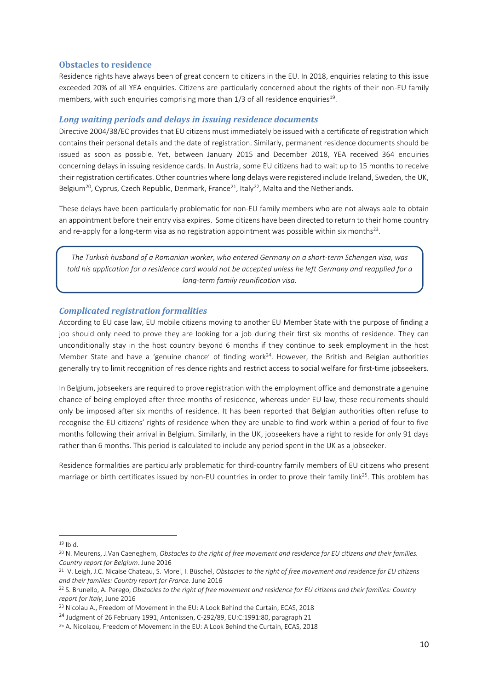#### <span id="page-10-0"></span>**Obstacles to residence**

Residence rights have always been of great concern to citizens in the EU. In 2018, enquiries relating to this issue exceeded 20% of all YEA enquiries. Citizens are particularly concerned about the rights of their non-EU family members, with such enquiries comprising more than 1/3 of all residence enquiries<sup>19</sup>.

#### *Long waiting periods and delays in issuing residence documents*

Directive 2004/38/EC provides that EU citizens must immediately be issued with a certificate of registration which contains their personal details and the date of registration. Similarly, permanent residence documents should be issued as soon as possible. Yet, between January 2015 and December 2018, YEA received 364 enquiries concerning delays in issuing residence cards. In Austria, some EU citizens had to wait up to 15 months to receive their registration certificates. Other countries where long delays were registered include Ireland, Sweden, the UK, Belgium<sup>20</sup>, Cyprus, Czech Republic, Denmark, France<sup>21</sup>, Italy<sup>22</sup>, Malta and the Netherlands.

These delays have been particularly problematic for non-EU family members who are not always able to obtain an appointment before their entry visa expires. Some citizens have been directed to return to their home country and re-apply for a long-term visa as no registration appointment was possible within six months<sup>23</sup>.

*The Turkish husband of a Romanian worker, who entered Germany on a short-term Schengen visa, was told his application for a residence card would not be accepted unless he left Germany and reapplied for a long-term family reunification visa.*

#### *Complicated registration formalities*

According to EU case law, EU mobile citizens moving to another EU Member State with the purpose of finding a job should only need to prove they are looking for a job during their first six months of residence. They can unconditionally stay in the host country beyond 6 months if they continue to seek employment in the host Member State and have a 'genuine chance' of finding work<sup>24</sup>. However, the British and Belgian authorities generally try to limit recognition of residence rights and restrict access to social welfare for first-time jobseekers.

In Belgium, jobseekers are required to prove registration with the employment office and demonstrate a genuine chance of being employed after three months of residence, whereas under EU law, these requirements should only be imposed after six months of residence. It has been reported that Belgian authorities often refuse to recognise the EU citizens' rights of residence when they are unable to find work within a period of four to five months following their arrival in Belgium. Similarly, in the UK, jobseekers have a right to reside for only 91 days rather than 6 months. This period is calculated to include any period spent in the UK as a jobseeker.

Residence formalities are particularly problematic for third-country family members of EU citizens who present marriage or birth certificates issued by non-EU countries in order to prove their family link<sup>25</sup>. This problem has

 $19$  Ibid.

<sup>20</sup> N. Meurens, J.Van Caeneghem, *Obstacles to the right of free movement and residence for EU citizens and their families. Country report for Belgium*. June 2016

<sup>21</sup> V. Leigh, J.C. Nicaise Chateau, S. Morel, I. Büschel, *Obstacles to the right of free movement and residence for EU citizens and their families: Country report for France*. June 2016

<sup>22</sup> S. Brunello, A. Perego, *Obstacles to the right of free movement and residence for EU citizens and their families: Country report for Italy*, June 2016

<sup>&</sup>lt;sup>23</sup> Nicolau A., Freedom of Movement in the EU: A Look Behind the Curtain, ECAS, 2018

<sup>24</sup> Judgment of 26 February 1991, Antonissen, C-292/89, EU:C:1991:80, paragraph 21

<sup>&</sup>lt;sup>25</sup> A. Nicolaou, Freedom of Movement in the EU: A Look Behind the Curtain, ECAS, 2018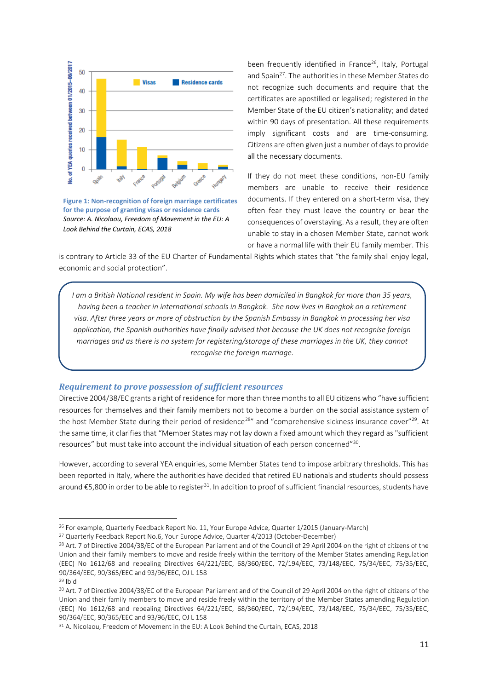

**Figure 1: Non-recognition of foreign marriage certificates for the purpose of granting visas or residence cards**  *Source: A. Nicolaou, Freedom of Movement in the EU: A Look Behind the Curtain, ECAS, 2018*

been frequently identified in France<sup>26</sup>, Italy, Portugal and Spain<sup>27</sup>. The authorities in these Member States do not recognize such documents and require that the certificates are apostilled or legalised; registered in the Member State of the EU citizen's nationality; and dated within 90 days of presentation. All these requirements imply significant costs and are time-consuming. Citizens are often given just a number of days to provide all the necessary documents.

If they do not meet these conditions, non-EU family members are unable to receive their residence documents. If they entered on a short-term visa, they often fear they must leave the country or bear the consequences of overstaying. As a result, they are often unable to stay in a chosen Member State, cannot work or have a normal life with their EU family member. This

is contrary to Article 33 of the EU Charter of Fundamental Rights which states that "the family shall enjoy legal, economic and social protection".

*I am a British National resident in Spain. My wife has been domiciled in Bangkok for more than 35 years, having been a teacher in international schools in Bangkok. She now lives in Bangkok on a retirement visa. After three years or more of obstruction by the Spanish Embassy in Bangkok in processing her visa application, the Spanish authorities have finally advised that because the UK does not recognise foreign marriages and as there is no system for registering/storage of these marriages in the UK, they cannot recognise the foreign marriage.*

#### *Requirement to prove possession of sufficient resources*

Directive 2004/38/EC grants a right of residence for more than three months to all EU citizens who "have sufficient resources for themselves and their family members not to become a burden on the social assistance system of the host Member State during their period of residence<sup>28</sup>" and "comprehensive sickness insurance cover"<sup>29</sup>. At the same time, it clarifies that "Member States may not lay down a fixed amount which they regard as "sufficient resources" but must take into account the individual situation of each person concerned"<sup>30</sup>.

However, according to several YEA enquiries, some Member States tend to impose arbitrary thresholds. This has been reported in Italy, where the authorities have decided that retired EU nationals and students should possess around €5,800 in order to be able to register<sup>31</sup>. In addition to proof of sufficient financial resources, students have

<sup>26</sup> For example, Quarterly Feedback Report No. 11, Your Europe Advice, Quarter 1/2015 (January-March)

<sup>27</sup> Quarterly Feedback Report No.6, Your Europe Advice, Quarter 4/2013 (October-December)

<sup>&</sup>lt;sup>28</sup> Art. 7 of Directive 2004/38/EC of the European Parliament and of the Council of 29 April 2004 on the right of citizens of the Union and their family members to move and reside freely within the territory of the Member States amending Regulation (EEC) No 1612/68 and repealing Directives 64/221/EEC, 68/360/EEC, 72/194/EEC, 73/148/EEC, 75/34/EEC, 75/35/EEC, 90/364/EEC, 90/365/EEC and 93/96/EEC, OJ L 158

<sup>29</sup> Ibid

<sup>&</sup>lt;sup>30</sup> Art. 7 of Directive 2004/38/EC of the European Parliament and of the Council of 29 April 2004 on the right of citizens of the Union and their family members to move and reside freely within the territory of the Member States amending Regulation (EEC) No 1612/68 and repealing Directives 64/221/EEC, 68/360/EEC, 72/194/EEC, 73/148/EEC, 75/34/EEC, 75/35/EEC, 90/364/EEC, 90/365/EEC and 93/96/EEC, OJ L 158

<sup>&</sup>lt;sup>31</sup> A. Nicolaou, Freedom of Movement in the EU: A Look Behind the Curtain, ECAS, 2018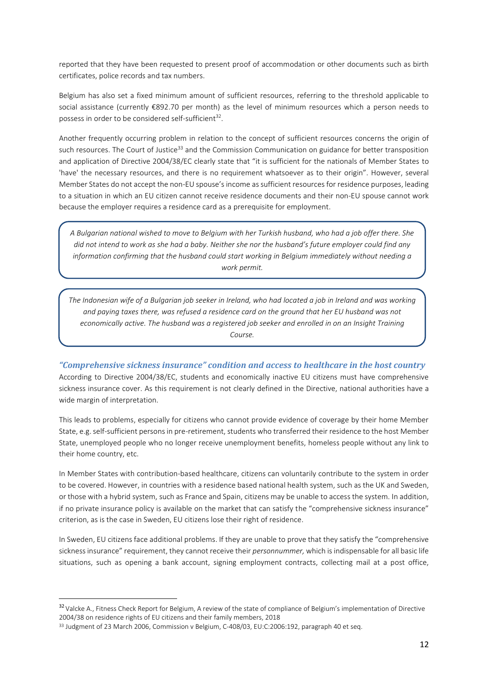reported that they have been requested to present proof of accommodation or other documents such as birth certificates, police records and tax numbers.

Belgium has also set a fixed minimum amount of sufficient resources, referring to the threshold applicable to social assistance (currently €892.70 per month) as the level of minimum resources which a person needs to possess in order to be considered self-sufficient<sup>32</sup>.

Another frequently occurring problem in relation to the concept of sufficient resources concerns the origin of such resources. The Court of Justice<sup>33</sup> and the Commission Communication on guidance for better transposition and application of Directive 2004/38/EC clearly state that "it is sufficient for the nationals of Member States to 'have' the necessary resources, and there is no requirement whatsoever as to their origin". However, several Member States do not accept the non-EU spouse's income as sufficient resources for residence purposes, leading to a situation in which an EU citizen cannot receive residence documents and their non-EU spouse cannot work because the employer requires a residence card as a prerequisite for employment.

*A Bulgarian national wished to move to Belgium with her Turkish husband, who had a job offer there. She did not intend to work as she had a baby. Neither she nor the husband's future employer could find any information confirming that the husband could start working in Belgium immediately without needing a work permit.*

*The Indonesian wife of a Bulgarian job seeker in Ireland, who had located a job in Ireland and was working and paying taxes there, was refused a residence card on the ground that her EU husband was not economically active. The husband was a registered job seeker and enrolled in on an Insight Training Course.*

*"Comprehensive sickness insurance" condition and access to healthcare in the host country* According to Directive 2004/38/EC, students and economically inactive EU citizens must have comprehensive sickness insurance cover. As this requirement is not clearly defined in the Directive, national authorities have a wide margin of interpretation.

This leads to problems, especially for citizens who cannot provide evidence of coverage by their home Member State, e.g. self-sufficient persons in pre-retirement, students who transferred their residence to the host Member State, unemployed people who no longer receive unemployment benefits, homeless people without any link to their home country, etc.

In Member States with contribution-based healthcare, citizens can voluntarily contribute to the system in order to be covered. However, in countries with a residence based national health system, such as the UK and Sweden, or those with a hybrid system, such as France and Spain, citizens may be unable to access the system. In addition, if no private insurance policy is available on the market that can satisfy the "comprehensive sickness insurance" criterion, as is the case in Sweden, EU citizens lose their right of residence.

In Sweden, EU citizens face additional problems. If they are unable to prove that they satisfy the "comprehensive sickness insurance" requirement, they cannot receive their *personnummer,* which is indispensable for all basic life situations, such as opening a bank account, signing employment contracts, collecting mail at a post office,

<sup>&</sup>lt;sup>32</sup> Valcke A., Fitness Check Report for Belgium, A review of the state of compliance of Belgium's implementation of Directive 2004/38 on residence rights of EU citizens and their family members, 2018

<sup>&</sup>lt;sup>33</sup> Judgment of 23 March 2006, Commission v Belgium, C-408/03, EU:C:2006:192, paragraph 40 et seq.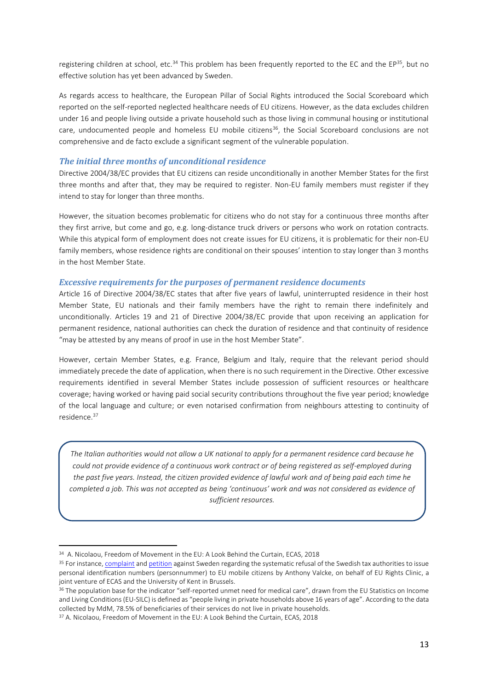registering children at school, etc.<sup>34</sup> This problem has been frequently reported to the EC and the EP<sup>35</sup>, but no effective solution has yet been advanced by Sweden.

As regards access to healthcare, the European Pillar of Social Rights introduced the Social Scoreboard which reported on the self-reported neglected healthcare needs of EU citizens. However, as the data excludes children under 16 and people living outside a private household such as those living in communal housing or institutional care, undocumented people and homeless EU mobile citizens<sup>36</sup>, the Social Scoreboard conclusions are not comprehensive and de facto exclude a significant segment of the vulnerable population.

#### *The initial three months of unconditional residence*

Directive 2004/38/EC provides that EU citizens can reside unconditionally in another Member States for the first three months and after that, they may be required to register. Non-EU family members must register if they intend to stay for longer than three months.

However, the situation becomes problematic for citizens who do not stay for a continuous three months after they first arrive, but come and go, e.g. long-distance truck drivers or persons who work on rotation contracts. While this atypical form of employment does not create issues for EU citizens, it is problematic for their non-EU family members, whose residence rights are conditional on their spouses' intention to stay longer than 3 months in the host Member State.

#### *Excessive requirements for the purposes of permanent residence documents*

Article 16 of Directive 2004/38/EC states that after five years of lawful, uninterrupted residence in their host Member State, EU nationals and their family members have the right to remain there indefinitely and unconditionally. Articles 19 and 21 of Directive 2004/38/EC provide that upon receiving an application for permanent residence, national authorities can check the duration of residence and that continuity of residence "may be attested by any means of proof in use in the host Member State".

However, certain Member States, e.g. France, Belgium and Italy, require that the relevant period should immediately precede the date of application, when there is no such requirement in the Directive. Other excessive requirements identified in several Member States include possession of sufficient resources or healthcare coverage; having worked or having paid social security contributions throughout the five year period; knowledge of the local language and culture; or even notarised confirmation from neighbours attesting to continuity of residence. 37

*The Italian authorities would not allow a UK national to apply for a permanent residence card because he could not provide evidence of a continuous work contract or of being registered as self-employed during the past five years. Instead, the citizen provided evidence of lawful work and of being paid each time he completed a job. This was not accepted as being 'continuous' work and was not considered as evidence of sufficient resources.*

<sup>34</sup> A. Nicolaou, Freedom of Movement in the EU: A Look Behind the Curtain, ECAS, 2018

<sup>&</sup>lt;sup>35</sup> For instance[, complaint](https://ecas.org/wp-content/uploads/2017/11/Complaint-executive-summary-FINAL-14.11.17.pdf) an[d petition](https://ecas.org/wp-content/uploads/2017/12/Petition-executive-summary-FINAL-15-12-17.pdf) against Sweden regarding the systematic refusal of the Swedish tax authorities to issue personal identification numbers (personnummer) to EU mobile citizens by Anthony Valcke, on behalf of EU Rights Clinic, a joint venture of ECAS and the University of Kent in Brussels.

<sup>&</sup>lt;sup>36</sup> The population base for the indicator "self-reported unmet need for medical care", drawn from the EU Statistics on Income and Living Conditions (EU-SILC) is defined as "people living in private households above 16 years of age". According to the data collected by MdM, 78.5% of beneficiaries of their services do not live in private households.

<sup>37</sup> A. Nicolaou, Freedom of Movement in the EU: A Look Behind the Curtain, ECAS, 2018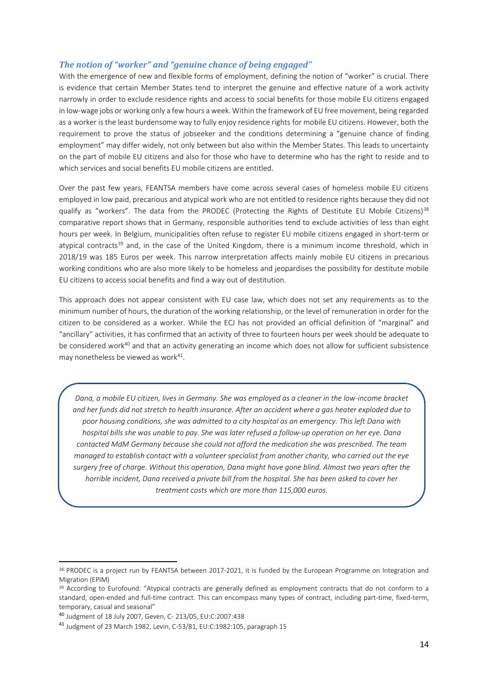#### *The notion of "worker" and "genuine chance of being engaged"*

With the emergence of new and flexible forms of employment, defining the notion of "worker" is crucial. There is evidence that certain Member States tend to interpret the genuine and effective nature of a work activity narrowly in order to exclude residence rights and access to social benefits for those mobile EU citizens engaged in low-wage jobs or working only a few hours a week. Within the framework of EU free movement, being regarded as a worker is the least burdensome way to fully enjoy residence rights for mobile EU citizens. However, both the requirement to prove the status of jobseeker and the conditions determining a "genuine chance of finding employment" may differ widely, not only between but also within the Member States. This leads to uncertainty on the part of mobile EU citizens and also for those who have to determine who has the right to reside and to which services and social benefits EU mobile citizens are entitled.

Over the past few years, FEANTSA members have come across several cases of homeless mobile EU citizens employed in low paid, precarious and atypical work who are not entitled to residence rights because they did not qualify as "workers". The data from the PRODEC (Protecting the Rights of Destitute EU Mobile Citizens)<sup>38</sup> comparative report shows that in Germany, responsible authorities tend to exclude activities of less than eight hours per week. In Belgium, municipalities often refuse to register EU mobile citizens engaged in short-term or atypical contracts<sup>39</sup> and, in the case of the United Kingdom, there is a minimum income threshold, which in 2018/19 was 185 Euros per week. This narrow interpretation affects mainly mobile EU citizens in precarious working conditions who are also more likely to be homeless and jeopardises the possibility for destitute mobile EU citizens to access social benefits and find a way out of destitution.

This approach does not appear consistent with EU case law, which does not set any requirements as to the minimum number of hours, the duration of the working relationship, or the level of remuneration in order for the citizen to be considered as a worker. While the ECJ has not provided an official definition of "marginal" and "ancillary" activities, it has confirmed that an activity of three to fourteen hours per week should be adequate to be considered work<sup>40</sup> and that an activity generating an income which does not allow for sufficient subsistence may nonetheless be viewed as work<sup>41</sup>.

*Dana, a mobile EU citizen, lives in Germany. She was employed as a cleaner in the low-income bracket and her funds did not stretch to health insurance. After an accident where a gas heater exploded due to poor housing conditions, she was admitted to a city hospital as an emergency. This left Dana with hospital bills she was unable to pay. She was later refused a follow-up operation on her eye. Dana contacted MdM Germany because she could not afford the medication she was prescribed. The team managed to establish contact with a volunteer specialist from another charity, who carried out the eye surgery free of charge. Without this operation, Dana might have gone blind. Almost two years after the horrible incident, Dana received a private bill from the hospital. She has been asked to cover her treatment costs which are more than 115,000 euros.*

<sup>&</sup>lt;sup>38</sup> PRODEC is a project run by FEANTSA between 2017-2021, it is funded by the European Programme on Integration and Migration (EPIM)

 $39$  According to Eurofound: "Atypical contracts are generally defined as employment contracts that do not conform to a standard, open-ended and full-time contract. This can encompass many types of contract, including part-time, fixed-term, temporary, casual and seasonal"

<sup>40</sup> Judgment of 18 July 2007, Geven, C- 213/05, EU:C:2007:438

<sup>41</sup> Judgment of 23 March 1982, Levin, C-53/81, EU:C:1982:105, paragraph 15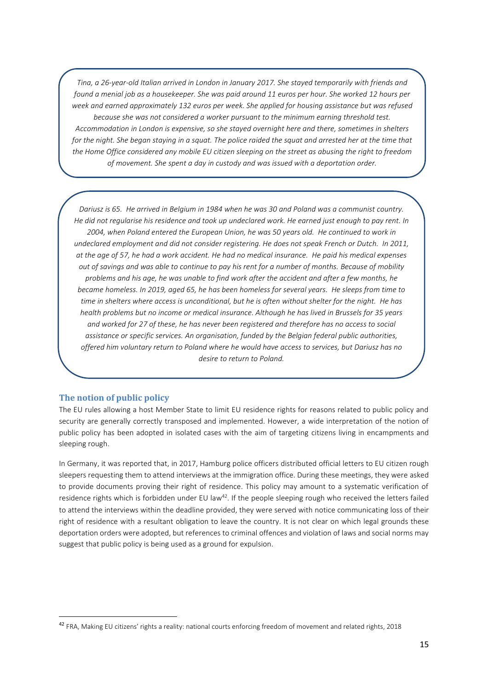*Tina, a 26-year-old Italian arrived in London in January 2017. She stayed temporarily with friends and found a menial job as a housekeeper. She was paid around 11 euros per hour. She worked 12 hours per week and earned approximately 132 euros per week. She applied for housing assistance but was refused because she was not considered a worker pursuant to the minimum earning threshold test. Accommodation in London is expensive, so she stayed overnight here and there, sometimes in shelters for the night. She began staying in a squat. The police raided the squat and arrested her at the time that the Home Office considered any mobile EU citizen sleeping on the street as abusing the right to freedom of movement. She spent a day in custody and was issued with a deportation order.* 

*Dariusz is 65. He arrived in Belgium in 1984 when he was 30 and Poland was a communist country. He did not regularise his residence and took up undeclared work. He earned just enough to pay rent. In 2004, when Poland entered the European Union, he was 50 years old. He continued to work in undeclared employment and did not consider registering. He does not speak French or Dutch. In 2011, at the age of 57, he had a work accident. He had no medical insurance. He paid his medical expenses out of savings and was able to continue to pay his rent for a number of months. Because of mobility problems and his age, he was unable to find work after the accident and after a few months, he became homeless. In 2019, aged 65, he has been homeless for several years. He sleeps from time to time in shelters where access is unconditional, but he is often without shelter for the night. He has health problems but no income or medical insurance. Although he has lived in Brussels for 35 years and worked for 27 of these, he has never been registered and therefore has no access to social assistance or specific services. An organisation, funded by the Belgian federal public authorities, offered him voluntary return to Poland where he would have access to services, but Dariusz has no desire to return to Poland.*

#### <span id="page-15-0"></span>**The notion of public policy**

The EU rules allowing a host Member State to limit EU residence rights for reasons related to public policy and security are generally correctly transposed and implemented. However, a wide interpretation of the notion of public policy has been adopted in isolated cases with the aim of targeting citizens living in encampments and sleeping rough.

In Germany, it was reported that, in 2017, Hamburg police officers distributed official letters to EU citizen rough sleepers requesting them to attend interviews at the immigration office. During these meetings, they were asked to provide documents proving their right of residence. This policy may amount to a systematic verification of residence rights which is forbidden under EU law<sup>42</sup>. If the people sleeping rough who received the letters failed to attend the interviews within the deadline provided, they were served with notice communicating loss of their right of residence with a resultant obligation to leave the country. It is not clear on which legal grounds these deportation orders were adopted, but references to criminal offences and violation of laws and social norms may suggest that public policy is being used as a ground for expulsion.

<sup>42</sup> FRA, Making EU citizens' rights a reality: national courts enforcing freedom of movement and related rights, 2018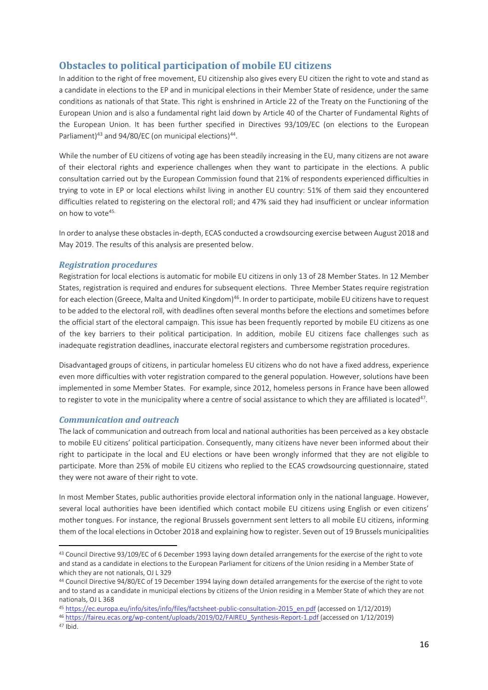# <span id="page-16-0"></span>**Obstacles to political participation of mobile EU citizens**

In addition to the right of free movement, EU citizenship also gives every EU citizen the right to vote and stand as a candidate in elections to the EP and in municipal elections in their Member State of residence, under the same conditions as nationals of that State. This right is enshrined in Article 22 of the Treaty on the Functioning of the European Union and is also a fundamental right laid down by Article 40 of the Charter of Fundamental Rights of the European Union. It has been further specified in Directives 93/109/EC (on elections to the European Parliament)<sup>43</sup> and 94/80/EC (on municipal elections)<sup>44</sup>.

While the number of EU citizens of voting age has been steadily increasing in the EU, many citizens are not aware of their electoral rights and experience challenges when they want to participate in the elections. A public consultation carried out by the European Commission found that 21% of respondents experienced difficulties in trying to vote in EP or local elections whilst living in another EU country: 51% of them said they encountered difficulties related to registering on the electoral roll; and 47% said they had insufficient or unclear information on how to vote<sup>45.</sup>

In order to analyse these obstacles in-depth, ECAS conducted a crowdsourcing exercise between August 2018 and May 2019. The results of this analysis are presented below.

#### *Registration procedures*

Registration for local elections is automatic for mobile EU citizens in only 13 of 28 Member States. In 12 Member States, registration is required and endures for subsequent elections. Three Member States require registration for each election (Greece, Malta and United Kingdom)<sup>46</sup>. In order to participate, mobile EU citizens have to request to be added to the electoral roll, with deadlines often several months before the elections and sometimes before the official start of the electoral campaign. This issue has been frequently reported by mobile EU citizens as one of the key barriers to their political participation. In addition, mobile EU citizens face challenges such as inadequate registration deadlines, inaccurate electoral registers and cumbersome registration procedures.

Disadvantaged groups of citizens, in particular homeless EU citizens who do not have a fixed address, experience even more difficulties with voter registration compared to the general population. However, solutions have been implemented in some Member States. For example, since 2012, homeless persons in France have been allowed to register to vote in the municipality where a centre of social assistance to which they are affiliated is located<sup>47</sup>.

#### *Communication and outreach*

The lack of communication and outreach from local and national authorities has been perceived as a key obstacle to mobile EU citizens' political participation. Consequently, many citizens have never been informed about their right to participate in the local and EU elections or have been wrongly informed that they are not eligible to participate. More than 25% of mobile EU citizens who replied to the ECAS crowdsourcing questionnaire, stated they were not aware of their right to vote.

In most Member States, public authorities provide electoral information only in the national language. However, several local authorities have been identified which contact mobile EU citizens using English or even citizens' mother tongues. For instance, the regional Brussels government sent letters to all mobile EU citizens, informing them of the local elections in October 2018 and explaining how to register. Seven out of 19 Brussels municipalities

<sup>43</sup> Council Directive 93/109/EC of 6 December 1993 laying down detailed arrangements for the exercise of the right to vote and stand as a candidate in elections to the European Parliament for citizens of the Union residing in a Member State of which they are not nationals, OJ L 329

<sup>44</sup> Council Directive 94/80/EC of 19 December 1994 laying down detailed arrangements for the exercise of the right to vote and to stand as a candidate in municipal elections by citizens of the Union residing in a Member State of which they are not nationals, OJ L 368

<sup>45</sup> [https://ec.europa.eu/info/sites/info/files/factsheet-public-consultation-2015\\_en.pdf](https://ec.europa.eu/info/sites/info/files/factsheet-public-consultation-2015_en.pdf) (accessed on 1/12/2019)

<sup>46</sup> [https://faireu.ecas.org/wp-content/uploads/2019/02/FAIREU\\_Synthesis-Report-1.pdf](https://faireu.ecas.org/wp-content/uploads/2019/02/FAIREU_Synthesis-Report-1.pdf) (accessed on 1/12/2019)

 $47$  Ibid.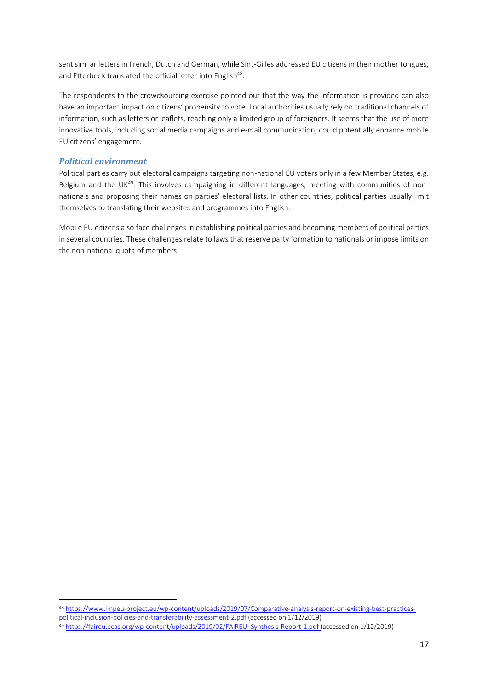sent similar letters in French, Dutch and German, while Sint-Gilles addressed EU citizens in their mother tongues, and Etterbeek translated the official letter into English<sup>48</sup>.

The respondents to the crowdsourcing exercise pointed out that the way the information is provided can also have an important impact on citizens' propensity to vote. Local authorities usually rely on traditional channels of information, such as letters or leaflets, reaching only a limited group of foreigners. It seems that the use of more innovative tools, including social media campaigns and e-mail communication, could potentially enhance mobile EU citizens' engagement.

#### *Political environment*

Political parties carry out electoral campaigns targeting non-national EU voters only in a few Member States, e.g. Belgium and the UK<sup>49</sup>. This involves campaigning in different languages, meeting with communities of nonnationals and proposing their names on parties' electoral lists. In other countries, political parties usually limit themselves to translating their websites and programmes into English.

Mobile EU citizens also face challenges in establishing political parties and becoming members of political parties in several countries. These challenges relate to laws that reserve party formation to nationals or impose limits on the non-national quota of members.

<sup>48</sup> [https://www.impeu-project.eu/wp-content/uploads/2019/07/Comparative-analysis-report-on-existing-best-practices-](https://www.impeu-project.eu/wp-content/uploads/2019/07/Comparative-analysis-report-on-existing-best-practices-political-inclusion-policies-and-transferability-assessment-2.pdf)

[political-inclusion-policies-and-transferability-assessment-2.pdf](https://www.impeu-project.eu/wp-content/uploads/2019/07/Comparative-analysis-report-on-existing-best-practices-political-inclusion-policies-and-transferability-assessment-2.pdf) (accessed on 1/12/2019)

<sup>49</sup> [https://faireu.ecas.org/wp-content/uploads/2019/02/FAIREU\\_Synthesis-Report-1.pdf](https://faireu.ecas.org/wp-content/uploads/2019/02/FAIREU_Synthesis-Report-1.pdf) (accessed on 1/12/2019)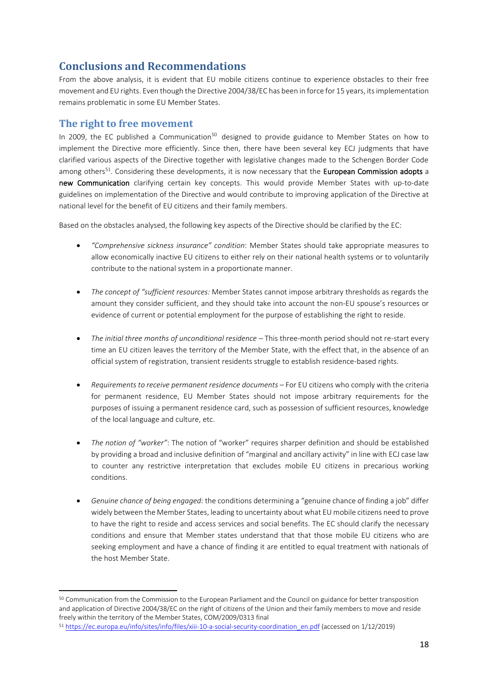# <span id="page-18-0"></span>**Conclusions and Recommendations**

From the above analysis, it is evident that EU mobile citizens continue to experience obstacles to their free movement and EU rights. Even though the Directive 2004/38/EC has been in force for 15 years, its implementation remains problematic in some EU Member States.

## <span id="page-18-1"></span>**The right to free movement**

In 2009, the EC published a Communication<sup>50</sup> designed to provide guidance to Member States on how to implement the Directive more efficiently. Since then, there have been several key ECJ judgments that have clarified various aspects of the Directive together with legislative changes made to the Schengen Border Code among others<sup>51</sup>. Considering these developments, it is now necessary that the European Commission adopts a new Communication clarifying certain key concepts. This would provide Member States with up-to-date guidelines on implementation of the Directive and would contribute to improving application of the Directive at national level for the benefit of EU citizens and their family members.

Based on the obstacles analysed, the following key aspects of the Directive should be clarified by the EC:

- *"Comprehensive sickness insurance" condition*: Member States should take appropriate measures to allow economically inactive EU citizens to either rely on their national health systems or to voluntarily contribute to the national system in a proportionate manner.
- *The concept of "sufficient resources:* Member States cannot impose arbitrary thresholds as regards the amount they consider sufficient, and they should take into account the non-EU spouse's resources or evidence of current or potential employment for the purpose of establishing the right to reside.
- *The initial three months of unconditional residence This three-month period should not re-start every* time an EU citizen leaves the territory of the Member State, with the effect that, in the absence of an official system of registration, transient residents struggle to establish residence-based rights.
- *Requirements to receive permanent residence documents* For EU citizens who comply with the criteria for permanent residence, EU Member States should not impose arbitrary requirements for the purposes of issuing a permanent residence card, such as possession of sufficient resources, knowledge of the local language and culture, etc.
- *The notion of "worker"*: The notion of "worker" requires sharper definition and should be established by providing a broad and inclusive definition of "marginal and ancillary activity" in line with ECJ case law to counter any restrictive interpretation that excludes mobile EU citizens in precarious working conditions.
- *Genuine chance of being engaged:* the conditions determining a "genuine chance of finding a job" differ widely between the Member States, leading to uncertainty about what EU mobile citizens need to prove to have the right to reside and access services and social benefits. The EC should clarify the necessary conditions and ensure that Member states understand that that those mobile EU citizens who are seeking employment and have a chance of finding it are entitled to equal treatment with nationals of the host Member State.

<sup>50</sup> Communication from the Commission to the European Parliament and the Council on guidance for better transposition and application of Directive 2004/38/EC on the right of citizens of the Union and their family members to move and reside freely within the territory of the Member States, COM/2009/0313 final

<sup>51</sup> [https://ec.europa.eu/info/sites/info/files/xiii-10-a-social-security-coordination\\_en.pdf](https://ec.europa.eu/info/sites/info/files/xiii-10-a-social-security-coordination_en.pdf) (accessed on 1/12/2019)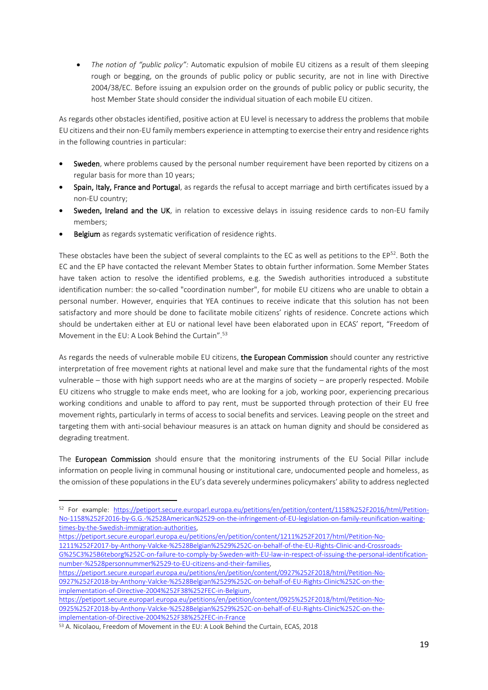• *The notion of "public policy":* Automatic expulsion of mobile EU citizens as a result of them sleeping rough or begging, on the grounds of public policy or public security, are not in line with Directive 2004/38/EC. Before issuing an expulsion order on the grounds of public policy or public security, the host Member State should consider the individual situation of each mobile EU citizen.

As regards other obstacles identified, positive action at EU level is necessary to address the problems that mobile EU citizens and their non-EU family members experience in attempting to exercise their entry and residence rights in the following countries in particular:

- Sweden, where problems caused by the personal number requirement have been reported by citizens on a regular basis for more than 10 years;
- Spain, Italy, France and Portugal, as regards the refusal to accept marriage and birth certificates issued by a non-EU country;
- Sweden, Ireland and the UK, in relation to excessive delays in issuing residence cards to non-EU family members;
- **Belgium** as regards systematic verification of residence rights.

These obstacles have been the subject of several complaints to the EC as well as petitions to the EP<sup>52</sup>. Both the EC and the EP have contacted the relevant Member States to obtain further information. Some Member States have taken action to resolve the identified problems, e.g. the Swedish authorities introduced a substitute identification number: the so-called "coordination number", for mobile EU citizens who are unable to obtain a personal number. However, enquiries that YEA continues to receive indicate that this solution has not been satisfactory and more should be done to facilitate mobile citizens' rights of residence. Concrete actions which should be undertaken either at EU or national level have been elaborated upon in ECAS' report, "Freedom of Movement in the EU: A Look Behind the Curtain".<sup>53</sup>

As regards the needs of vulnerable mobile EU citizens, the European Commission should counter any restrictive interpretation of free movement rights at national level and make sure that the fundamental rights of the most vulnerable – those with high support needs who are at the margins of society – are properly respected. Mobile EU citizens who struggle to make ends meet, who are looking for a job, working poor, experiencing precarious working conditions and unable to afford to pay rent, must be supported through protection of their EU free movement rights, particularly in terms of access to social benefits and services. Leaving people on the street and targeting them with anti-social behaviour measures is an attack on human dignity and should be considered as degrading treatment.

The **European Commission** should ensure that the monitoring instruments of the EU Social Pillar include information on people living in communal housing or institutional care, undocumented people and homeless, as the omission of these populations in the EU's data severely undermines policymakers' ability to address neglected

- [https://petiport.secure.europarl.europa.eu/petitions/en/petition/content/1211%252F2017/html/Petition-No-](https://petiport.secure.europarl.europa.eu/petitions/en/petition/content/1211%252F2017/html/Petition-No-1211%252F2017-by-Anthony-Valcke-%2528Belgian%2529%252C-on-behalf-of-the-EU-Rights-Clinic-and-Crossroads-G%25C3%25B6teborg%252C-on-failure-to-comply-by-Sweden-with-EU-law-in-respect-of-issuing-the-personal-identification-number-%2528personnummer%2529-to-EU-citizens-and-their-families)
- [1211%252F2017-by-Anthony-Valcke-%2528Belgian%2529%252C-on-behalf-of-the-EU-Rights-Clinic-and-Crossroads-](https://petiport.secure.europarl.europa.eu/petitions/en/petition/content/1211%252F2017/html/Petition-No-1211%252F2017-by-Anthony-Valcke-%2528Belgian%2529%252C-on-behalf-of-the-EU-Rights-Clinic-and-Crossroads-G%25C3%25B6teborg%252C-on-failure-to-comply-by-Sweden-with-EU-law-in-respect-of-issuing-the-personal-identification-number-%2528personnummer%2529-to-EU-citizens-and-their-families)

<sup>52</sup> For example: [https://petiport.secure.europarl.europa.eu/petitions/en/petition/content/1158%252F2016/html/Petition-](https://petiport.secure.europarl.europa.eu/petitions/en/petition/content/1158%252F2016/html/Petition-No-1158%252F2016-by-G.G.-%2528American%2529-on-the-infringement-of-EU-legislation-on-family-reunification-waiting-times-by-the-Swedish-immigration-authorities)[No-1158%252F2016-by-G.G.-%2528American%2529-on-the-infringement-of-EU-legislation-on-family-reunification-waiting](https://petiport.secure.europarl.europa.eu/petitions/en/petition/content/1158%252F2016/html/Petition-No-1158%252F2016-by-G.G.-%2528American%2529-on-the-infringement-of-EU-legislation-on-family-reunification-waiting-times-by-the-Swedish-immigration-authorities)[times-by-the-Swedish-immigration-authorities,](https://petiport.secure.europarl.europa.eu/petitions/en/petition/content/1158%252F2016/html/Petition-No-1158%252F2016-by-G.G.-%2528American%2529-on-the-infringement-of-EU-legislation-on-family-reunification-waiting-times-by-the-Swedish-immigration-authorities) 

[G%25C3%25B6teborg%252C-on-failure-to-comply-by-Sweden-with-EU-law-in-respect-of-issuing-the-personal-identification](https://petiport.secure.europarl.europa.eu/petitions/en/petition/content/1211%252F2017/html/Petition-No-1211%252F2017-by-Anthony-Valcke-%2528Belgian%2529%252C-on-behalf-of-the-EU-Rights-Clinic-and-Crossroads-G%25C3%25B6teborg%252C-on-failure-to-comply-by-Sweden-with-EU-law-in-respect-of-issuing-the-personal-identification-number-%2528personnummer%2529-to-EU-citizens-and-their-families)[number-%2528personnummer%2529-to-EU-citizens-and-their-families,](https://petiport.secure.europarl.europa.eu/petitions/en/petition/content/1211%252F2017/html/Petition-No-1211%252F2017-by-Anthony-Valcke-%2528Belgian%2529%252C-on-behalf-of-the-EU-Rights-Clinic-and-Crossroads-G%25C3%25B6teborg%252C-on-failure-to-comply-by-Sweden-with-EU-law-in-respect-of-issuing-the-personal-identification-number-%2528personnummer%2529-to-EU-citizens-and-their-families)

[https://petiport.secure.europarl.europa.eu/petitions/en/petition/content/0927%252F2018/html/Petition-No-](https://petiport.secure.europarl.europa.eu/petitions/en/petition/content/0927%252F2018/html/Petition-No-0927%252F2018-by-Anthony-Valcke-%2528Belgian%2529%252C-on-behalf-of-EU-Rights-Clinic%252C-on-the-implementation-of-Directive-2004%252F38%252FEC-in-Belgium)[0927%252F2018-by-Anthony-Valcke-%2528Belgian%2529%252C-on-behalf-of-EU-Rights-Clinic%252C-on-the](https://petiport.secure.europarl.europa.eu/petitions/en/petition/content/0927%252F2018/html/Petition-No-0927%252F2018-by-Anthony-Valcke-%2528Belgian%2529%252C-on-behalf-of-EU-Rights-Clinic%252C-on-the-implementation-of-Directive-2004%252F38%252FEC-in-Belgium)[implementation-of-Directive-2004%252F38%252FEC-in-Belgium,](https://petiport.secure.europarl.europa.eu/petitions/en/petition/content/0927%252F2018/html/Petition-No-0927%252F2018-by-Anthony-Valcke-%2528Belgian%2529%252C-on-behalf-of-EU-Rights-Clinic%252C-on-the-implementation-of-Directive-2004%252F38%252FEC-in-Belgium)

[https://petiport.secure.europarl.europa.eu/petitions/en/petition/content/0925%252F2018/html/Petition-No-](https://petiport.secure.europarl.europa.eu/petitions/en/petition/content/0925%252F2018/html/Petition-No-0925%252F2018-by-Anthony-Valcke-%2528Belgian%2529%252C-on-behalf-of-EU-Rights-Clinic%252C-on-the-implementation-of-Directive-2004%252F38%252FEC-in-France)[0925%252F2018-by-Anthony-Valcke-%2528Belgian%2529%252C-on-behalf-of-EU-Rights-Clinic%252C-on-the](https://petiport.secure.europarl.europa.eu/petitions/en/petition/content/0925%252F2018/html/Petition-No-0925%252F2018-by-Anthony-Valcke-%2528Belgian%2529%252C-on-behalf-of-EU-Rights-Clinic%252C-on-the-implementation-of-Directive-2004%252F38%252FEC-in-France)[implementation-of-Directive-2004%252F38%252FEC-in-France](https://petiport.secure.europarl.europa.eu/petitions/en/petition/content/0925%252F2018/html/Petition-No-0925%252F2018-by-Anthony-Valcke-%2528Belgian%2529%252C-on-behalf-of-EU-Rights-Clinic%252C-on-the-implementation-of-Directive-2004%252F38%252FEC-in-France)

<sup>53</sup> A. Nicolaou, Freedom of Movement in the EU: A Look Behind the Curtain, ECAS, 2018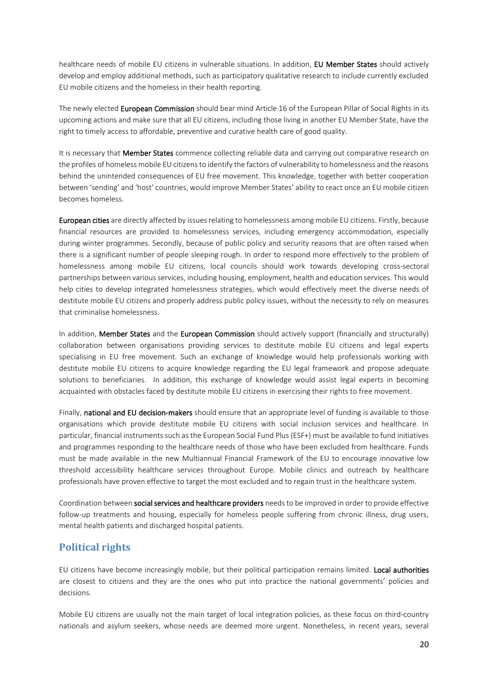healthcare needs of mobile EU citizens in vulnerable situations. In addition, EU Member States should actively develop and employ additional methods, such as participatory qualitative research to include currently excluded EU mobile citizens and the homeless in their health reporting.

The newly elected European Commission should bear mind Article 16 of the European Pillar of Social Rights in its upcoming actions and make sure that all EU citizens, including those living in another EU Member State, have the right to timely access to affordable, preventive and curative health care of good quality.

It is necessary that **Member States** commence collecting reliable data and carrying out comparative research on the profiles of homeless mobile EU citizens to identify the factors of vulnerability to homelessness and the reasons behind the unintended consequences of EU free movement. This knowledge, together with better cooperation between 'sending' and 'host' countries, would improve Member States' ability to react once an EU mobile citizen becomes homeless.

European cities are directly affected by issues relating to homelessness among mobile EU citizens. Firstly, because financial resources are provided to homelessness services, including emergency accommodation, especially during winter programmes. Secondly, because of public policy and security reasons that are often raised when there is a significant number of people sleeping rough. In order to respond more effectively to the problem of homelessness among mobile EU citizens, local councils should work towards developing cross-sectoral partnerships between various services, including housing, employment, health and education services. This would help cities to develop integrated homelessness strategies, which would effectively meet the diverse needs of destitute mobile EU citizens and properly address public policy issues, without the necessity to rely on measures that criminalise homelessness.

In addition, Member States and the European Commission should actively support (financially and structurally) collaboration between organisations providing services to destitute mobile EU citizens and legal experts specialising in EU free movement. Such an exchange of knowledge would help professionals working with destitute mobile EU citizens to acquire knowledge regarding the EU legal framework and propose adequate solutions to beneficiaries. In addition, this exchange of knowledge would assist legal experts in becoming acquainted with obstacles faced by destitute mobile EU citizens in exercising their rights to free movement.

Finally, national and EU decision-makers should ensure that an appropriate level of funding is available to those organisations which provide destitute mobile EU citizens with social inclusion services and healthcare. In particular, financial instruments such as the European Social Fund Plus (ESF+) must be available to fund initiatives and programmes responding to the healthcare needs of those who have been excluded from healthcare. Funds must be made available in the new Multiannual Financial Framework of the EU to encourage innovative low threshold accessibility healthcare services throughout Europe. Mobile clinics and outreach by healthcare professionals have proven effective to target the most excluded and to regain trust in the healthcare system.

Coordination between social services and healthcare providers needs to be improved in order to provide effective follow-up treatments and housing, especially for homeless people suffering from chronic illness, drug users, mental health patients and discharged hospital patients.

### <span id="page-20-0"></span>**Political rights**

EU citizens have become increasingly mobile, but their political participation remains limited. Local authorities are closest to citizens and they are the ones who put into practice the national governments' policies and decisions.

Mobile EU citizens are usually not the main target of local integration policies, as these focus on third-country nationals and asylum seekers, whose needs are deemed more urgent. Nonetheless, in recent years, several